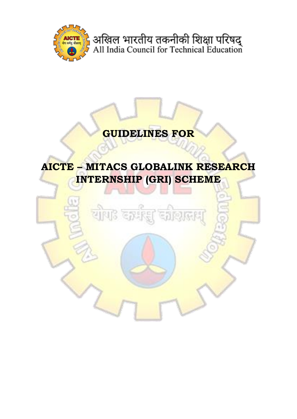

अखिल भारतीय तकनीकी शिक्षा परिषद्<br>All India Council for Technical Education

# **GUIDELINES FOR**

# **AICTE – MITACS GLOBALINK RESEARCH INTERNSHIP (GRI) SCHEME**

<mark>यो</mark>पाः कर्म

<u>हा दशकासा</u>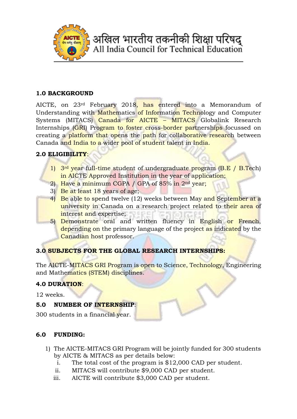

## **1.0 BACKGROUND**

AICTE, on 23rd February 2018, has entered into a Memorandum of Understanding with Mathematics of Information Technology and Computer Systems (MITACS) Canada for AICTE – MITACS Globalink Research Internships (GRI) Program to foster cross-border partnerships focussed on creating a platform that opens the path for collaborative research between Canada and India to a wider pool of student talent in India.

## **2.0 ELIGIBILITY**:

- 1) 3rd year full-time student of undergraduate program (B.E / B.Tech) in AICTE Approved Institution in the year of application;
- 2) Have a minimum CGPA / GPA of 85% in 2nd year;
- 3) Be at least 18 years of age;
- 4) Be able to spend twelve (12) weeks between May and September at a university in Canada on a research project related to their area of interest and expertise;
- 5) Demonstrate oral and written fluency in English or French, depending on the primary language of the project as indicated by the Canadian host professor.

## **3.0 SUBJECTS FOR THE GLOBAL RESEARCH INTERNSHIPS:**

The AICTE-MITACS GRI Program is open to Science, Technology, Engineering and Mathematics (STEM) disciplines.

## **4.0 DURATION**:

12 weeks.

## **5.0 NUMBER OF INTERNSHIP**:

300 students in a financial year.

## **6.0 FUNDING:**

- 1) The AICTE-MITACS GRI Program will be jointly funded for 300 students by AICTE & MITACS as per details below:
	- i. The total cost of the program is \$12,000 CAD per student.
	- ii. MITACS will contribute \$9,000 CAD per student.
	- iii. AICTE will contribute \$3,000 CAD per student.